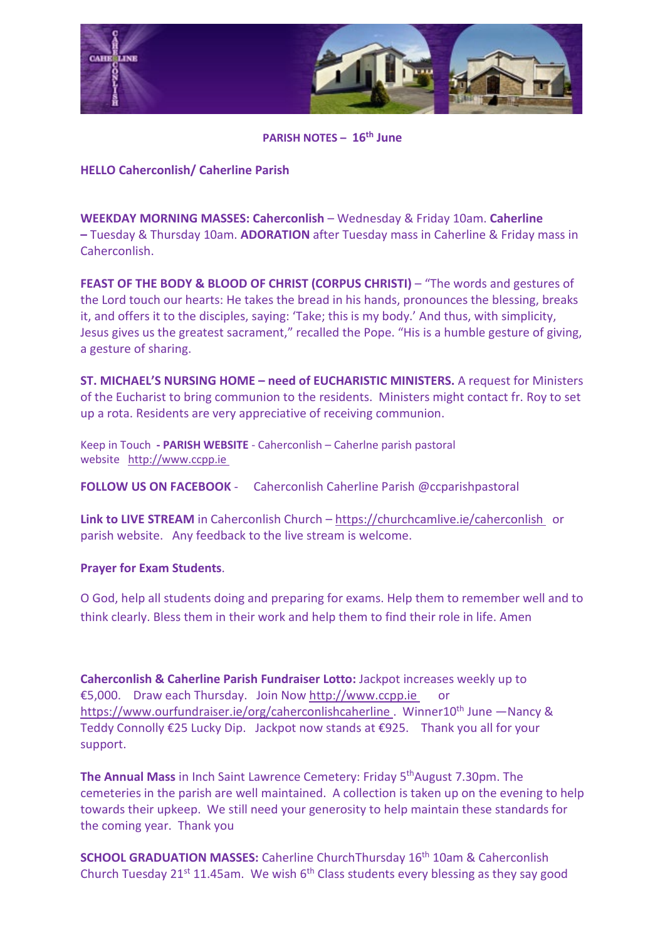

**PARISH NOTES – 16th June**

## **HELLO Caherconlish/ Caherline Parish**

**WEEKDAY MORNING MASSES: Caherconlish** – Wednesday & Friday 10am. **Caherline –** Tuesday & Thursday 10am. **ADORATION** after Tuesday mass in Caherline & Friday mass in Caherconlish.

**FEAST OF THE BODY & BLOOD OF CHRIST (CORPUS CHRISTI)** – "The words and gestures of the Lord touch our hearts: He takes the bread in his hands, pronounces the blessing, breaks it, and offers it to the disciples, saying: 'Take; this is my body.' And thus, with simplicity, Jesus gives us the greatest sacrament," recalled the Pope. "His is a humble gesture of giving, a gesture of sharing.

**ST. MICHAEL'S NURSING HOME – need of EUCHARISTIC MINISTERS.** A request for Ministers of the Eucharist to bring communion to the residents. Ministers might contact fr. Roy to set up a rota. Residents are very appreciative of receiving communion.

Keep in Touch **- PARISH WEBSITE** - Caherconlish – Caherlne parish pastoral website [http://www.ccpp.ie](http://www.ccpp.ie/) 

**FOLLOW US ON FACEBOOK** - Caherconlish Caherline Parish @ccparishpastoral

**Link to LIVE STREAM** in Caherconlish Church – <https://churchcamlive.ie/caherconlish>or parish website. Any feedback to the live stream is welcome.

## **Prayer for Exam Students**.

O God, help all students doing and preparing for exams. Help them to remember well and to think clearly. Bless them in their work and help them to find their role in life. Amen

**Caherconlish & Caherline Parish Fundraiser Lotto:** Jackpot increases weekly up to €5,000. Draw each Thursday. Join Now [http://www.ccpp.ie](http://www.ccpp.ie/) or [https://www.ourfundraiser.ie/org/caherconlishcaherline .](https://www.ourfundraiser.ie/org/caherconlishcaherline) Winner10<sup>th</sup> June -Nancy & Teddy Connolly €25 Lucky Dip. Jackpot now stands at €925. Thank you all for your support.

**The Annual Mass** in Inch Saint Lawrence Cemetery: Friday 5<sup>th</sup>August 7.30pm. The cemeteries in the parish are well maintained. A collection is taken up on the evening to help towards their upkeep. We still need your generosity to help maintain these standards for the coming year. Thank you

**SCHOOL GRADUATION MASSES:** Caherline ChurchThursday 16<sup>th</sup> 10am & Caherconlish Church Tuesday 21<sup>st</sup> 11.45am. We wish  $6<sup>th</sup>$  Class students every blessing as they say good